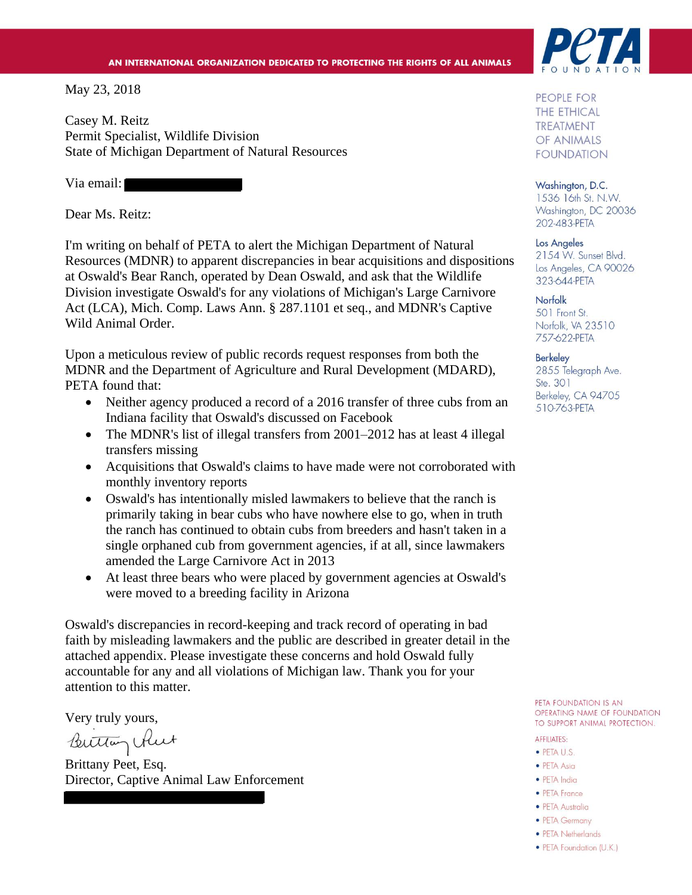#### AN INTERNATIONAL ORGANIZATION DEDICATED TO PROTECTING THE RIGHTS OF ALL ANIMALS

May 23, 2018

Casey M. Reitz Permit Specialist, Wildlife Division State of Michigan Department of Natural Resources

Via email:

Dear Ms. Reitz:

I'm writing on behalf of PETA to alert the Michigan Department of Natural Resources (MDNR) to apparent discrepancies in bear acquisitions and dispositions at Oswald's Bear Ranch, operated by Dean Oswald, and ask that the Wildlife Division investigate Oswald's for any violations of Michigan's Large Carnivore Act (LCA), Mich. Comp. Laws Ann. § 287.1101 et seq., and MDNR's Captive Wild Animal Order.

Upon a meticulous review of public records request responses from both the MDNR and the Department of Agriculture and Rural Development (MDARD), PETA found that:

- Neither agency produced a record of a 2016 transfer of three cubs from an Indiana facility that Oswald's discussed on Facebook
- The MDNR's list of illegal transfers from 2001–2012 has at least 4 illegal transfers missing
- Acquisitions that Oswald's claims to have made were not corroborated with monthly inventory reports
- Oswald's has intentionally misled lawmakers to believe that the ranch is primarily taking in bear cubs who have nowhere else to go, when in truth the ranch has continued to obtain cubs from breeders and hasn't taken in a single orphaned cub from government agencies, if at all, since lawmakers amended the Large Carnivore Act in 2013
- At least three bears who were placed by government agencies at Oswald's were moved to a breeding facility in Arizona

Oswald's discrepancies in record-keeping and track record of operating in bad faith by misleading lawmakers and the public are described in greater detail in the attached appendix. Please investigate these concerns and hold Oswald fully accountable for any and all violations of Michigan law. Thank you for your attention to this matter.

Very truly yours,

Buttan Rut

Brittany Peet, Esq. Director, Captive Animal Law Enforcement



PEOPLE FOR **THE ETHICAL TREATMENT** OF ANIMALS **FOUNDATION** 

Washington, D.C. 1536 16th St. N.W. Washington, DC 20036 202-483-PETA

Los Angeles 2154 W. Sunset Blvd. Los Angeles, CA 90026 323-644-PETA

Norfolk 501 Front St. Norfolk, VA 23510 757-622-PETA

**Berkeley** 

2855 Telegraph Ave. Ste. 301 Berkeley, CA 94705 510-763-PETA

PETA FOUNDATION IS AN OPERATING NAME OF FOUNDATION TO SUPPORT ANIMAL PROTECTION.

#### **AFFILIATES:**

- · PETA U.S.
- PETA Asia
- · PETA India
- PETA France
- PETA Australia
- PETA Germany
- PETA Netherlands
- PETA Foundation (U.K.)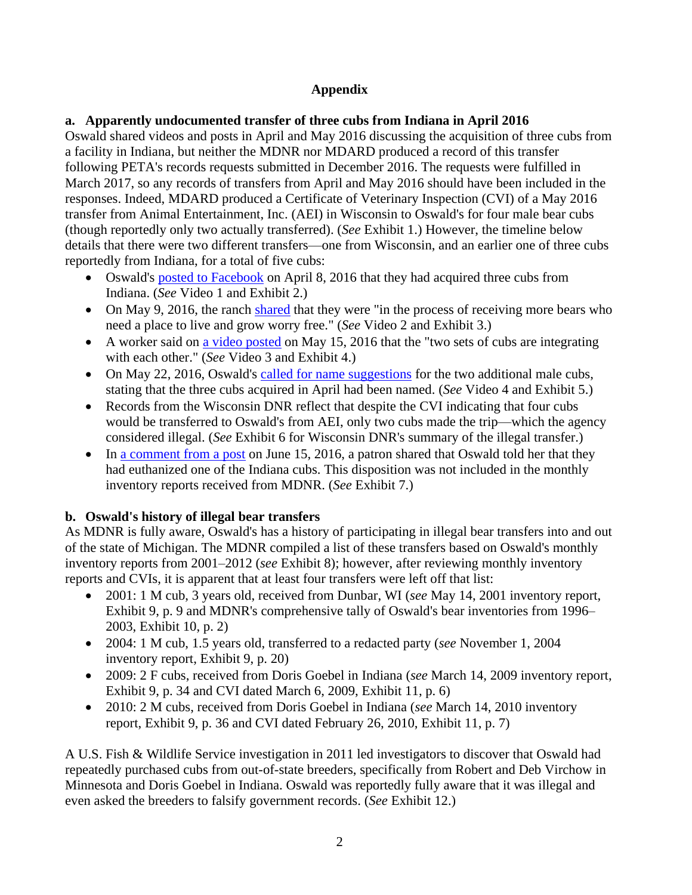# **Appendix**

# **a. Apparently undocumented transfer of three cubs from Indiana in April 2016**

Oswald shared videos and posts in April and May 2016 discussing the acquisition of three cubs from a facility in Indiana, but neither the MDNR nor MDARD produced a record of this transfer following PETA's records requests submitted in December 2016. The requests were fulfilled in March 2017, so any records of transfers from April and May 2016 should have been included in the responses. Indeed, MDARD produced a Certificate of Veterinary Inspection (CVI) of a May 2016 transfer from Animal Entertainment, Inc. (AEI) in Wisconsin to Oswald's for four male bear cubs (though reportedly only two actually transferred). (*See* Exhibit 1.) However, the timeline below details that there were two different transfers—one from Wisconsin, and an earlier one of three cubs reportedly from Indiana, for a total of five cubs:

- Oswald's [posted to Facebook](https://www.facebook.com/118140314881923/videos/1246523642043579/) on April 8, 2016 that they had acquired three cubs from Indiana. (*See* Video 1 and Exhibit 2.)
- On May 9, 2016, the ranch [shared](https://www.facebook.com/118140314881923/videos/1267554683273808/) that they were "in the process of receiving more bears who need a place to live and grow worry free." (*See* Video 2 and Exhibit 3.)
- A worker said on [a video posted](https://www.facebook.com/118140314881923/videos/1272004286162181/) on May 15, 2016 that the "two sets of cubs are integrating with each other." (*See* Video 3 and Exhibit 4.)
- On May 22, 2016, Oswald's [called for name suggestions](https://www.facebook.com/118140314881923/videos/1276898649006078/) for the two additional male cubs, stating that the three cubs acquired in April had been named. (*See* Video 4 and Exhibit 5.)
- Records from the Wisconsin DNR reflect that despite the CVI indicating that four cubs would be transferred to Oswald's from AEI, only two cubs made the trip—which the agency considered illegal. (*See* Exhibit 6 for Wisconsin DNR's summary of the illegal transfer.)
- In [a comment from a post](https://www.facebook.com/118140314881923/videos/1293548430674433/?comment_id=1301532299876046&comment_tracking=%7B%22tn%22%3A%22R2%22%7D) on June 15, 2016, a patron shared that Oswald told her that they had euthanized one of the Indiana cubs. This disposition was not included in the monthly inventory reports received from MDNR. (*See* Exhibit 7.)

# **b. Oswald's history of illegal bear transfers**

As MDNR is fully aware, Oswald's has a history of participating in illegal bear transfers into and out of the state of Michigan. The MDNR compiled a list of these transfers based on Oswald's monthly inventory reports from 2001–2012 (*see* Exhibit 8); however, after reviewing monthly inventory reports and CVIs, it is apparent that at least four transfers were left off that list:

- 2001: 1 M cub, 3 years old, received from Dunbar, WI (*see* May 14, 2001 inventory report, Exhibit 9, p. 9 and MDNR's comprehensive tally of Oswald's bear inventories from 1996– 2003, Exhibit 10, p. 2)
- 2004: 1 M cub, 1.5 years old, transferred to a redacted party (*see* November 1, 2004 inventory report, Exhibit 9, p. 20)
- 2009: 2 F cubs, received from Doris Goebel in Indiana (*see* March 14, 2009 inventory report, Exhibit 9, p. 34 and CVI dated March 6, 2009, Exhibit 11, p. 6)
- 2010: 2 M cubs, received from Doris Goebel in Indiana (*see* March 14, 2010 inventory report, Exhibit 9, p. 36 and CVI dated February 26, 2010, Exhibit 11, p. 7)

A U.S. Fish & Wildlife Service investigation in 2011 led investigators to discover that Oswald had repeatedly purchased cubs from out-of-state breeders, specifically from Robert and Deb Virchow in Minnesota and Doris Goebel in Indiana. Oswald was reportedly fully aware that it was illegal and even asked the breeders to falsify government records. (*See* Exhibit 12.)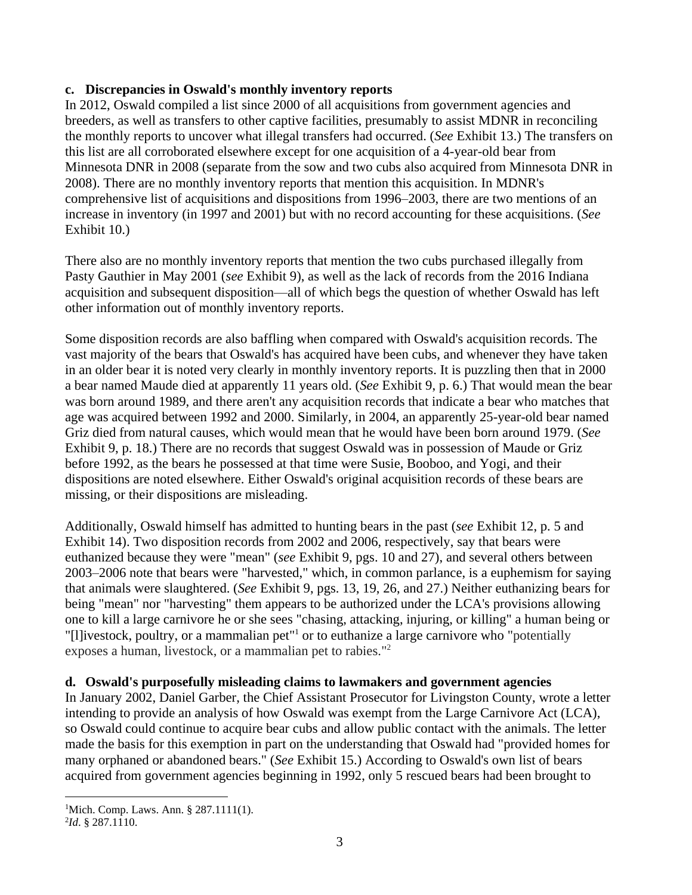# **c. Discrepancies in Oswald's monthly inventory reports**

In 2012, Oswald compiled a list since 2000 of all acquisitions from government agencies and breeders, as well as transfers to other captive facilities, presumably to assist MDNR in reconciling the monthly reports to uncover what illegal transfers had occurred. (*See* Exhibit 13.) The transfers on this list are all corroborated elsewhere except for one acquisition of a 4-year-old bear from Minnesota DNR in 2008 (separate from the sow and two cubs also acquired from Minnesota DNR in 2008). There are no monthly inventory reports that mention this acquisition. In MDNR's comprehensive list of acquisitions and dispositions from 1996–2003, there are two mentions of an increase in inventory (in 1997 and 2001) but with no record accounting for these acquisitions. (*See* Exhibit 10.)

There also are no monthly inventory reports that mention the two cubs purchased illegally from Pasty Gauthier in May 2001 (*see* Exhibit 9), as well as the lack of records from the 2016 Indiana acquisition and subsequent disposition—all of which begs the question of whether Oswald has left other information out of monthly inventory reports.

Some disposition records are also baffling when compared with Oswald's acquisition records. The vast majority of the bears that Oswald's has acquired have been cubs, and whenever they have taken in an older bear it is noted very clearly in monthly inventory reports. It is puzzling then that in 2000 a bear named Maude died at apparently 11 years old. (*See* Exhibit 9, p. 6.) That would mean the bear was born around 1989, and there aren't any acquisition records that indicate a bear who matches that age was acquired between 1992 and 2000. Similarly, in 2004, an apparently 25-year-old bear named Griz died from natural causes, which would mean that he would have been born around 1979. (*See* Exhibit 9, p. 18.) There are no records that suggest Oswald was in possession of Maude or Griz before 1992, as the bears he possessed at that time were Susie, Booboo, and Yogi, and their dispositions are noted elsewhere. Either Oswald's original acquisition records of these bears are missing, or their dispositions are misleading.

Additionally, Oswald himself has admitted to hunting bears in the past (*see* Exhibit 12, p. 5 and Exhibit 14). Two disposition records from 2002 and 2006, respectively, say that bears were euthanized because they were "mean" (*see* Exhibit 9, pgs. 10 and 27), and several others between 2003–2006 note that bears were "harvested," which, in common parlance, is a euphemism for saying that animals were slaughtered. (*See* Exhibit 9, pgs. 13, 19, 26, and 27.) Neither euthanizing bears for being "mean" nor "harvesting" them appears to be authorized under the LCA's provisions allowing one to kill a large carnivore he or she sees "chasing, attacking, injuring, or killing" a human being or "[I]ivestock, poultry, or a mammalian pet<sup>"1</sup> or to euthanize a large carnivore who "potentially exposes a human, livestock, or a mammalian pet to rabies." 2

# **d. Oswald's purposefully misleading claims to lawmakers and government agencies**

In January 2002, Daniel Garber, the Chief Assistant Prosecutor for Livingston County, wrote a letter intending to provide an analysis of how Oswald was exempt from the Large Carnivore Act (LCA), so Oswald could continue to acquire bear cubs and allow public contact with the animals. The letter made the basis for this exemption in part on the understanding that Oswald had "provided homes for many orphaned or abandoned bears." (*See* Exhibit 15.) According to Oswald's own list of bears acquired from government agencies beginning in 1992, only 5 rescued bears had been brought to

 $\overline{a}$ 

<sup>&</sup>lt;sup>1</sup>Mich. Comp. Laws. Ann. § 287.1111(1).

<sup>2</sup> *Id*. § 287.1110.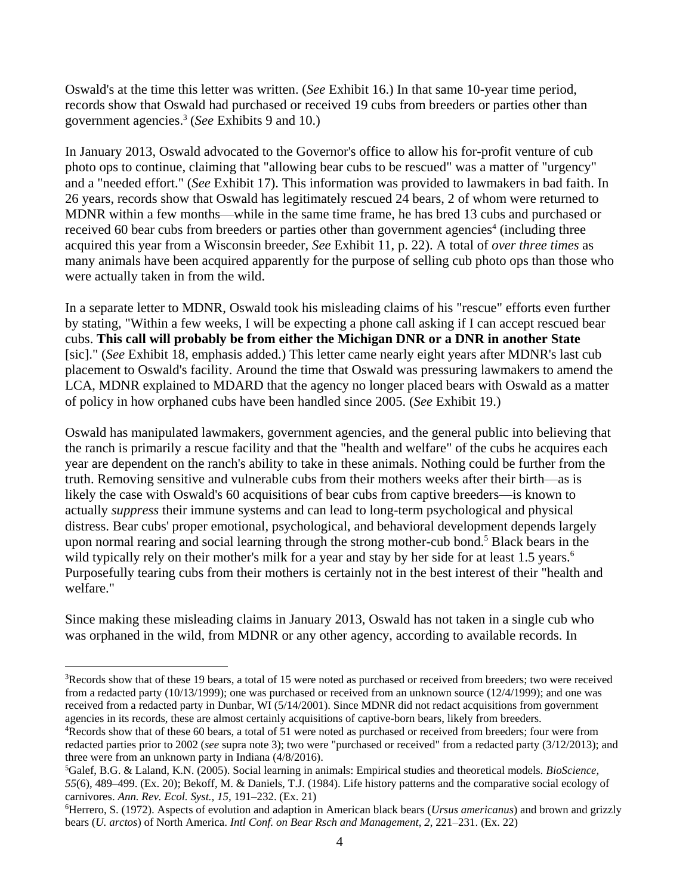Oswald's at the time this letter was written. (*See* Exhibit 16.) In that same 10-year time period, records show that Oswald had purchased or received 19 cubs from breeders or parties other than government agencies. 3 (*See* Exhibits 9 and 10.)

In January 2013, Oswald advocated to the Governor's office to allow his for-profit venture of cub photo ops to continue, claiming that "allowing bear cubs to be rescued" was a matter of "urgency" and a "needed effort." (*See* Exhibit 17). This information was provided to lawmakers in bad faith. In 26 years, records show that Oswald has legitimately rescued 24 bears, 2 of whom were returned to MDNR within a few months—while in the same time frame, he has bred 13 cubs and purchased or received 60 bear cubs from breeders or parties other than government agencies<sup>4</sup> (including three acquired this year from a Wisconsin breeder, *See* Exhibit 11, p. 22). A total of *over three times* as many animals have been acquired apparently for the purpose of selling cub photo ops than those who were actually taken in from the wild.

In a separate letter to MDNR, Oswald took his misleading claims of his "rescue" efforts even further by stating, "Within a few weeks, I will be expecting a phone call asking if I can accept rescued bear cubs. **This call will probably be from either the Michigan DNR or a DNR in another State** [sic]." (*See* Exhibit 18, emphasis added.) This letter came nearly eight years after MDNR's last cub placement to Oswald's facility. Around the time that Oswald was pressuring lawmakers to amend the LCA, MDNR explained to MDARD that the agency no longer placed bears with Oswald as a matter of policy in how orphaned cubs have been handled since 2005. (*See* Exhibit 19.)

Oswald has manipulated lawmakers, government agencies, and the general public into believing that the ranch is primarily a rescue facility and that the "health and welfare" of the cubs he acquires each year are dependent on the ranch's ability to take in these animals. Nothing could be further from the truth. Removing sensitive and vulnerable cubs from their mothers weeks after their birth—as is likely the case with Oswald's 60 acquisitions of bear cubs from captive breeders—is known to actually *suppress* their immune systems and can lead to long-term psychological and physical distress. Bear cubs' proper emotional, psychological, and behavioral development depends largely upon normal rearing and social learning through the strong mother-cub bond. <sup>5</sup> Black bears in the wild typically rely on their mother's milk for a year and stay by her side for at least 1.5 years.<sup>6</sup> Purposefully tearing cubs from their mothers is certainly not in the best interest of their "health and welfare."

Since making these misleading claims in January 2013, Oswald has not taken in a single cub who was orphaned in the wild, from MDNR or any other agency, according to available records. In

 $\overline{a}$ 

<sup>&</sup>lt;sup>3</sup>Records show that of these 19 bears, a total of 15 were noted as purchased or received from breeders; two were received from a redacted party (10/13/1999); one was purchased or received from an unknown source (12/4/1999); and one was received from a redacted party in Dunbar, WI (5/14/2001). Since MDNR did not redact acquisitions from government agencies in its records, these are almost certainly acquisitions of captive-born bears, likely from breeders.

<sup>4</sup>Records show that of these 60 bears, a total of 51 were noted as purchased or received from breeders; four were from redacted parties prior to 2002 (*see* supra note 3); two were "purchased or received" from a redacted party (3/12/2013); and three were from an unknown party in Indiana (4/8/2016).

<sup>5</sup>Galef, B.G. & Laland, K.N. (2005). Social learning in animals: Empirical studies and theoretical models. *BioScience, 55*(6), 489–499. (Ex. 20); Bekoff, M. & Daniels, T.J. (1984). Life history patterns and the comparative social ecology of carnivores. *Ann. Rev. Ecol. Syst., 15,* 191–232. (Ex. 21)

<sup>6</sup>Herrero, S. (1972). Aspects of evolution and adaption in American black bears (*Ursus americanus*) and brown and grizzly bears (*U. arctos*) of North America. *Intl Conf. on Bear Rsch and Management, 2*, 221–231. (Ex. 22)